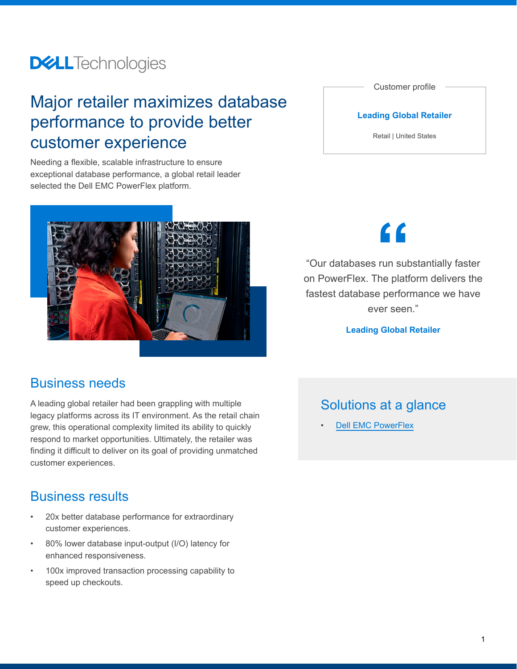## **DELL**Technologies

## Major retailer maximizes database performance to provide better customer experience

Needing a flexible, scalable infrastructure to ensure exceptional database performance, a global retail leader selected the Dell EMC PowerFlex platform.



## Business needs

A leading global retailer had been grappling with multiple legacy platforms across its IT environment. As the retail chain grew, this operational complexity limited its ability to quickly respond to market opportunities. Ultimately, the retailer was finding it difficult to deliver on its goal of providing unmatched customer experiences.

## Business results

- 20x better database performance for extraordinary customer experiences.
- 80% lower database input-output (I/O) latency for enhanced responsiveness.
- 100x improved transaction processing capability to speed up checkouts.

Customer profile

#### **Leading Global Retailer**

Retail | United States

**"**

"Our databases run substantially faster on PowerFlex. The platform delivers the fastest database performance we have ever seen."

**Leading Global Retailer**

## Solutions at a glance

**[Dell EMC PowerFlex](https://www.delltechnologies.com/en-us/storage/powerflex.htm)**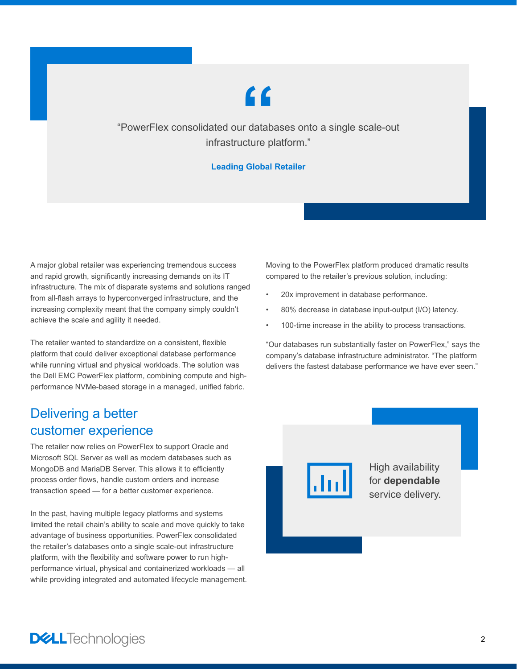# **"**

"PowerFlex consolidated our databases onto a single scale-out infrastructure platform."

### **Leading Global Retailer**

A major global retailer was experiencing tremendous success and rapid growth, significantly increasing demands on its IT infrastructure. The mix of disparate systems and solutions ranged from all-flash arrays to hyperconverged infrastructure, and the increasing complexity meant that the company simply couldn't achieve the scale and agility it needed.

The retailer wanted to standardize on a consistent, flexible platform that could deliver exceptional database performance while running virtual and physical workloads. The solution was the Dell EMC PowerFlex platform, combining compute and highperformance NVMe-based storage in a managed, unified fabric.

## Delivering a better customer experience

The retailer now relies on PowerFlex to support Oracle and Microsoft SQL Server as well as modern databases such as MongoDB and MariaDB Server. This allows it to efficiently process order flows, handle custom orders and increase transaction speed — for a better customer experience.

In the past, having multiple legacy platforms and systems limited the retail chain's ability to scale and move quickly to take advantage of business opportunities. PowerFlex consolidated the retailer's databases onto a single scale-out infrastructure platform, with the flexibility and software power to run highperformance virtual, physical and containerized workloads — all while providing integrated and automated lifecycle management. Moving to the PowerFlex platform produced dramatic results compared to the retailer's previous solution, including:

- 20x improvement in database performance.
- 80% decrease in database input-output (I/O) latency.
- 100-time increase in the ability to process transactions.

"Our databases run substantially faster on PowerFlex," says the company's database infrastructure administrator. "The platform delivers the fastest database performance we have ever seen."



High availability for **dependable** service delivery.

**DELL**Technologies